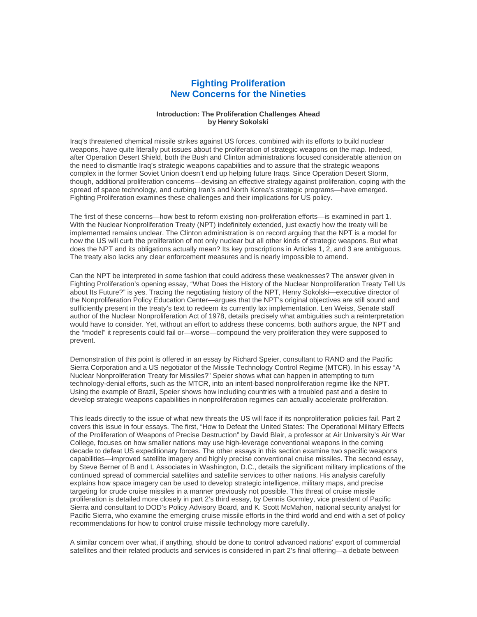## **Fighting Proliferation New Concerns for the Nineties**

## **Introduction: The Proliferation Challenges Ahead by Henry Sokolski**

Iraq's threatened chemical missile strikes against US forces, combined with its efforts to build nuclear weapons, have quite literally put issues about the proliferation of strategic weapons on the map. Indeed, after Operation Desert Shield, both the Bush and Clinton administrations focused considerable attention on the need to dismantle Iraq's strategic weapons capabilities and to assure that the strategic weapons complex in the former Soviet Union doesn't end up helping future Iraqs. Since Operation Desert Storm, though, additional proliferation concerns—devising an effective strategy against proliferation, coping with the spread of space technology, and curbing Iran's and North Korea's strategic programs—have emerged. Fighting Proliferation examines these challenges and their implications for US policy.

The first of these concerns—how best to reform existing non-proliferation efforts—is examined in part 1. With the Nuclear Nonproliferation Treaty (NPT) indefinitely extended, just exactly how the treaty will be implemented remains unclear. The Clinton administration is on record arguing that the NPT is a model for how the US will curb the proliferation of not only nuclear but all other kinds of strategic weapons. But what does the NPT and its obligations actually mean? Its key proscriptions in Articles 1, 2, and 3 are ambiguous. The treaty also lacks any clear enforcement measures and is nearly impossible to amend.

Can the NPT be interpreted in some fashion that could address these weaknesses? The answer given in Fighting Proliferation's opening essay, "What Does the History of the Nuclear Nonproliferation Treaty Tell Us about Its Future?" is yes. Tracing the negotiating history of the NPT, Henry Sokolski—executive director of the Nonproliferation Policy Education Center—argues that the NPT's original objectives are still sound and sufficiently present in the treaty's text to redeem its currently lax implementation. Len Weiss, Senate staff author of the Nuclear Nonproliferation Act of 1978, details precisely what ambiguities such a reinterpretation would have to consider. Yet, without an effort to address these concerns, both authors argue, the NPT and the "model" it represents could fail or—worse—compound the very proliferation they were supposed to prevent.

Demonstration of this point is offered in an essay by Richard Speier, consultant to RAND and the Pacific Sierra Corporation and a US negotiator of the Missile Technology Control Regime (MTCR). In his essay "A Nuclear Nonproliferation Treaty for Missiles?" Speier shows what can happen in attempting to turn technology-denial efforts, such as the MTCR, into an intent-based nonproliferation regime like the NPT. Using the example of Brazil, Speier shows how including countries with a troubled past and a desire to develop strategic weapons capabilities in nonproliferation regimes can actually accelerate proliferation.

This leads directly to the issue of what new threats the US will face if its nonproliferation policies fail. Part 2 covers this issue in four essays. The first, "How to Defeat the United States: The Operational Military Effects of the Proliferation of Weapons of Precise Destruction" by David Blair, a professor at Air University's Air War College, focuses on how smaller nations may use high-leverage conventional weapons in the coming decade to defeat US expeditionary forces. The other essays in this section examine two specific weapons capabilities—improved satellite imagery and highly precise conventional cruise missiles. The second essay, by Steve Berner of B and L Associates in Washington, D.C., details the significant military implications of the continued spread of commercial satellites and satellite services to other nations. His analysis carefully explains how space imagery can be used to develop strategic intelligence, military maps, and precise targeting for crude cruise missiles in a manner previously not possible. This threat of cruise missile proliferation is detailed more closely in part 2's third essay, by Dennis Gormley, vice president of Pacific Sierra and consultant to DOD's Policy Advisory Board, and K. Scott McMahon, national security analyst for Pacific Sierra, who examine the emerging cruise missile efforts in the third world and end with a set of policy recommendations for how to control cruise missile technology more carefully.

A similar concern over what, if anything, should be done to control advanced nations' export of commercial satellites and their related products and services is considered in part 2's final offering—a debate between